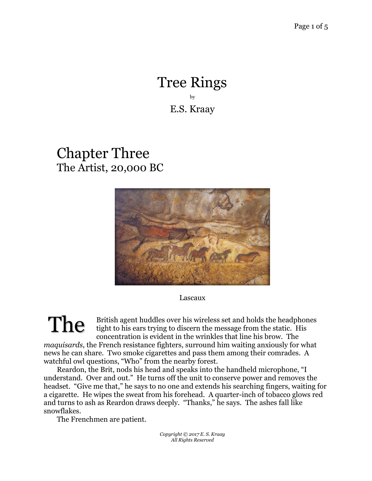## Tree Rings by E.S. Kraay

## Chapter Three The Artist, 20,000 BC



Lascaux

British agent huddles over his wireless set and holds the headphones tight to his ears trying to discern the message from the static. His concentration is evident in the wrinkles that line his brow. The *maquisards*, the French resistance fighters, surround him waiting anxiously for what news he can share. Two smoke cigarettes and pass them among their comrades. A The

watchful owl questions, "Who" from the nearby forest. Reardon, the Brit, nods his head and speaks into the handheld microphone, "I understand. Over and out." He turns off the unit to conserve power and removes the headset. "Give me that," he says to no one and extends his searching fingers, waiting for a cigarette. He wipes the sweat from his forehead. A quarter-inch of tobacco glows red and turns to ash as Reardon draws deeply. "Thanks," he says. The ashes fall like snowflakes.

The Frenchmen are patient.

*Copyright © 2017 E. S. Kraay All Rights Reserved*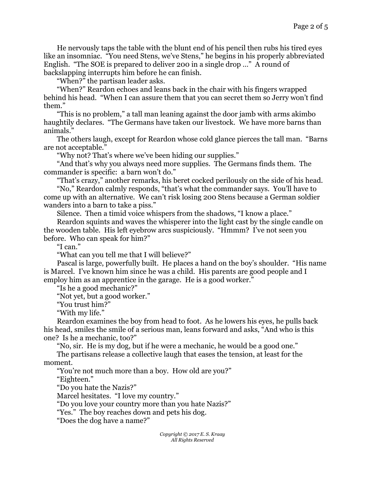He nervously taps the table with the blunt end of his pencil then rubs his tired eyes like an insomniac. "You need Stens, we've Stens," he begins in his properly abbreviated English. "The SOE is prepared to deliver 200 in a single drop …" A round of backslapping interrupts him before he can finish.

"When?" the partisan leader asks.

"When?" Reardon echoes and leans back in the chair with his fingers wrapped behind his head. "When I can assure them that you can secret them so Jerry won't find them."

"This is no problem," a tall man leaning against the door jamb with arms akimbo haughtily declares. "The Germans have taken our livestock. We have more barns than animals."

The others laugh, except for Reardon whose cold glance pierces the tall man. "Barns are not acceptable."

"Why not? That's where we've been hiding our supplies."

"And that's why you always need more supplies. The Germans finds them. The commander is specific: a barn won't do."

"That's crazy," another remarks, his beret cocked perilously on the side of his head.

"No," Reardon calmly responds, "that's what the commander says. You'll have to come up with an alternative. We can't risk losing 200 Stens because a German soldier wanders into a barn to take a piss."

Silence. Then a timid voice whispers from the shadows, "I know a place."

Reardon squints and waves the whisperer into the light cast by the single candle on the wooden table. His left eyebrow arcs suspiciously. "Hmmm? I've not seen you before. Who can speak for him?"

"I can."

"What can you tell me that I will believe?"

Pascal is large, powerfully built. He places a hand on the boy's shoulder. "His name is Marcel. I've known him since he was a child. His parents are good people and I employ him as an apprentice in the garage. He is a good worker."

"Is he a good mechanic?"

"Not yet, but a good worker."

"You trust him?"

"With my life."

Reardon examines the boy from head to foot. As he lowers his eyes, he pulls back his head, smiles the smile of a serious man, leans forward and asks, "And who is this one? Is he a mechanic, too?"

"No, sir. He is my dog, but if he were a mechanic, he would be a good one."

The partisans release a collective laugh that eases the tension, at least for the moment.

"You're not much more than a boy. How old are you?"

"Eighteen."

"Do you hate the Nazis?"

Marcel hesitates. "I love my country."

"Do you love your country more than you hate Nazis?"

"Yes." The boy reaches down and pets his dog.

"Does the dog have a name?"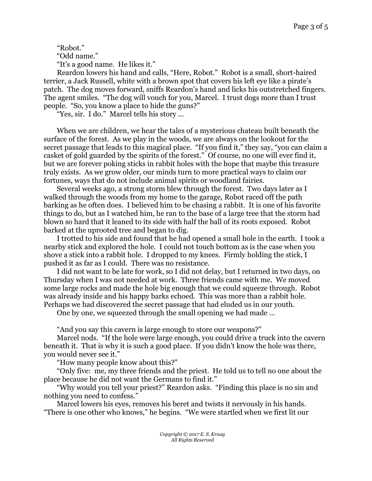"Robot."

"Odd name."

"It's a good name. He likes it."

Reardon lowers his hand and calls, "Here, Robot." Robot is a small, short-haired terrier, a Jack Russell, white with a brown spot that covers his left eye like a pirate's patch. The dog moves forward, sniffs Reardon's hand and licks his outstretched fingers. The agent smiles. "The dog will vouch for you, Marcel. I trust dogs more than I trust people. "So, you know a place to hide the guns?"

"Yes, sir. I do." Marcel tells his story …

When we are children, we hear the tales of a mysterious chateau built beneath the surface of the forest. As we play in the woods, we are always on the lookout for the secret passage that leads to this magical place. "If you find it," they say, "you can claim a casket of gold guarded by the spirits of the forest." Of course, no one will ever find it, but we are forever poking sticks in rabbit holes with the hope that maybe this treasure truly exists. As we grow older, our minds turn to more practical ways to claim our fortunes, ways that do not include animal spirits or woodland fairies.

Several weeks ago, a strong storm blew through the forest. Two days later as I walked through the woods from my home to the garage, Robot raced off the path barking as he often does. I believed him to be chasing a rabbit. It is one of his favorite things to do, but as I watched him, he ran to the base of a large tree that the storm had blown so hard that it leaned to its side with half the ball of its roots exposed. Robot barked at the uprooted tree and began to dig.

I trotted to his side and found that he had opened a small hole in the earth. I took a nearby stick and explored the hole. I could not touch bottom as is the case when you shove a stick into a rabbit hole. I dropped to my knees. Firmly holding the stick, I pushed it as far as I could. There was no resistance.

I did not want to be late for work, so I did not delay, but I returned in two days, on Thursday when I was not needed at work. Three friends came with me. We moved some large rocks and made the hole big enough that we could squeeze through. Robot was already inside and his happy barks echoed. This was more than a rabbit hole. Perhaps we had discovered the secret passage that had eluded us in our youth.

One by one, we squeezed through the small opening we had made …

"And you say this cavern is large enough to store our weapons?"

Marcel nods. "If the hole were large enough, you could drive a truck into the cavern beneath it. That is why it is such a good place. If you didn't know the hole was there, you would never see it."

"How many people know about this?"

"Only five: me, my three friends and the priest. He told us to tell no one about the place because he did not want the Germans to find it."

"Why would you tell your priest?" Reardon asks. "Finding this place is no sin and nothing you need to confess."

Marcel lowers his eyes, removes his beret and twists it nervously in his hands. "There is one other who knows," he begins. "We were startled when we first lit our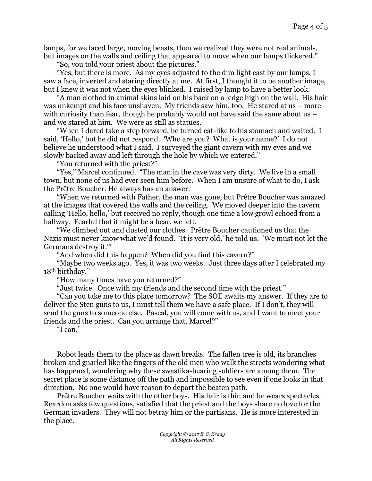lamps, for we faced large, moving beasts, then we realized they were not real animals, but images on the walls and ceiling that appeared to move when our lamps flickered."

"So, you told your priest about the pictures."

"Yes, but there is more. As my eyes adjusted to the dim light cast by our lamps, I saw a face, inverted and staring directly at me. At first, I thought it to be another image, but I knew it was not when the eyes blinked. I raised by lamp to have a better look.

"A man clothed in animal skins laid on his back on a ledge high on the wall. His hair was unkempt and his face unshaven. My friends saw him, too. He stared at us – more with curiosity than fear, though he probably would not have said the same about us  $$ and we stared at him. We were as still as statues.

"When I dared take a step forward, he turned cat-like to his stomach and waited. I said, 'Hello,' but he did not respond. 'Who are you? What is your name?' I do not believe he understood what I said. I surveyed the giant cavern with my eyes and we slowly backed away and left through the hole by which we entered."

"You returned with the priest?"

"Yes," Marcel continued. "The man in the cave was very dirty. We live in a small town, but none of us had ever seen him before. When I am unsure of what to do, I ask the Prêtre Boucher. He always has an answer.

"When we returned with Father, the man was gone, but Prêtre Boucher was amazed at the images that covered the walls and the ceiling. We moved deeper into the cavern calling 'Hello, hello,' but received no reply, though one time a low growl echoed from a hallway. Fearful that it might be a bear, we left.

"We climbed out and dusted our clothes. Prêtre Boucher cautioned us that the Nazis must never know what we'd found. 'It is very old,' he told us. 'We must not let the Germans destroy it.'"

"And when did this happen? When did you find this cavern?"

"Maybe two weeks ago. Yes, it was two weeks. Just three days after I celebrated my 18th birthday."

"How many times have you returned?"

"Just twice. Once with my friends and the second time with the priest."

"Can you take me to this place tomorrow? The SOE awaits my answer. If they are to deliver the Sten guns to us, I must tell them we have a safe place. If I don't, they will send the guns to someone else. Pascal, you will come with us, and I want to meet your friends and the priest. Can you arrange that, Marcel?"

"I can."

Robot leads them to the place as dawn breaks. The fallen tree is old, its branches broken and gnarled like the fingers of the old men who walk the streets wondering what has happened, wondering why these swastika-bearing soldiers are among them. The secret place is some distance off the path and impossible to see even if one looks in that direction. No one would have reason to depart the beaten path.

Prêtre Boucher waits with the other boys. His hair is thin and he wears spectacles. Reardon asks few questions, satisfied that the priest and the boys share no love for the German invaders. They will not betray him or the partisans. He is more interested in the place.